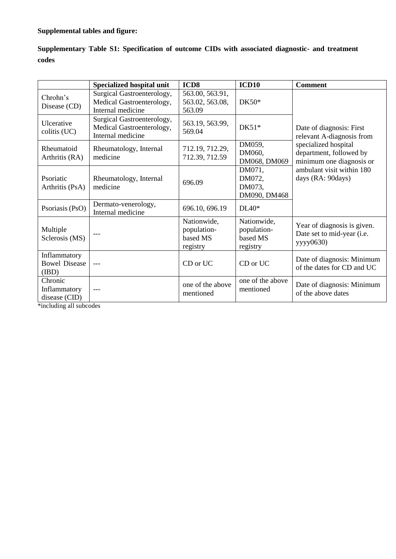## **Supplemental tables and figure:**

| Supplementary Table S1: Specification of outcome CIDs with associated diagnostic- and treatment |  |  |  |  |
|-------------------------------------------------------------------------------------------------|--|--|--|--|
| codes                                                                                           |  |  |  |  |

|                                              | Specialized hospital unit                                                    | ICD <sub>8</sub>                                   | ICD10                                              | <b>Comment</b>                                                              |
|----------------------------------------------|------------------------------------------------------------------------------|----------------------------------------------------|----------------------------------------------------|-----------------------------------------------------------------------------|
| Chrohn's<br>Disease (CD)                     | Surgical Gastroenterology,<br>Medical Gastroenterology,<br>Internal medicine | 563.00, 563.91,<br>563.02, 563.08,<br>563.09       | $DK50*$                                            |                                                                             |
| Ulcerative<br>colitis (UC)                   | Surgical Gastroenterology,<br>Medical Gastroenterology,<br>Internal medicine | 563.19, 563.99,<br>569.04                          | $DK51*$                                            | Date of diagnosis: First<br>relevant A-diagnosis from                       |
| Rheumatoid<br>Arthritis (RA)                 | Rheumatology, Internal<br>medicine                                           |                                                    | DM059,<br>DM060,<br>DM068, DM069                   | specialized hospital<br>department, followed by<br>minimum one diagnosis or |
| Psoriatic<br>Arthritis (PsA)                 | Rheumatology, Internal<br>medicine                                           | 696.09                                             | DM071,<br>DM072,<br>DM073,<br>DM090, DM468         | ambulant visit within 180<br>days (RA: 90days)                              |
| Psoriasis (PsO)                              | Dermato-venerology,<br>Internal medicine                                     | 696.10, 696.19                                     | $DL40*$                                            |                                                                             |
| Multiple<br>Sclerosis (MS)                   |                                                                              | Nationwide,<br>population-<br>based MS<br>registry | Nationwide,<br>population-<br>based MS<br>registry | Year of diagnosis is given.<br>Date set to mid-year (i.e.<br>yyyy0630)      |
| Inflammatory<br><b>Bowel Disease</b><br>(BD) | $---$                                                                        | CD or UC                                           | CD or UC                                           | Date of diagnosis: Minimum<br>of the dates for CD and UC                    |
| Chronic<br>Inflammatory<br>disease (CID)     |                                                                              | one of the above<br>mentioned                      | one of the above<br>mentioned                      | Date of diagnosis: Minimum<br>of the above dates                            |

\*including all subcodes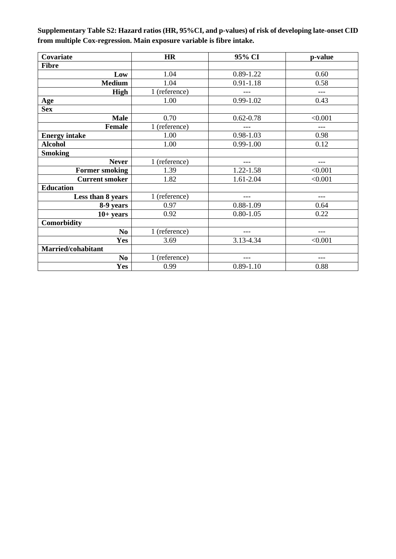**Supplementary Table S2: Hazard ratios (HR, 95%CI, and p-values) of risk of developing late-onset CID from multiple Cox-regression. Main exposure variable is fibre intake.** 

| Covariate             | <b>HR</b>     | 95% CI        | p-value |
|-----------------------|---------------|---------------|---------|
| <b>Fibre</b>          |               |               |         |
| Low                   | 1.04          | $0.89 - 1.22$ | 0.60    |
| <b>Medium</b>         | 1.04          | $0.91 - 1.18$ | 0.58    |
| <b>High</b>           | 1 (reference) |               | $---$   |
| Age                   | 1.00          | $0.99 - 1.02$ | 0.43    |
| <b>Sex</b>            |               |               |         |
| <b>Male</b>           | 0.70          | $0.62 - 0.78$ | < 0.001 |
| <b>Female</b>         | 1 (reference) |               | $---$   |
| <b>Energy intake</b>  | 1.00          | 0.98-1.03     | 0.98    |
| <b>Alcohol</b>        | 1.00          | $0.99 - 1.00$ | 0.12    |
| <b>Smoking</b>        |               |               |         |
| <b>Never</b>          | 1 (reference) | ---           | ---     |
| <b>Former smoking</b> | 1.39          | 1.22-1.58     | < 0.001 |
| <b>Current smoker</b> | 1.82          | 1.61-2.04     | < 0.001 |
| <b>Education</b>      |               |               |         |
| Less than 8 years     | 1 (reference) | ---           | ---     |
| 8-9 years             | 0.97          | $0.88 - 1.09$ | 0.64    |
| $10+ years$           | 0.92          | $0.80 - 1.05$ | 0.22    |
| Comorbidity           |               |               |         |
| N <sub>0</sub>        | 1 (reference) | $---$         | ---     |
| Yes                   | 3.69          | 3.13-4.34     | < 0.001 |
| Married/cohabitant    |               |               |         |
| N <sub>0</sub>        | 1 (reference) | $---$         | ---     |
| Yes                   | 0.99          | $0.89 - 1.10$ | 0.88    |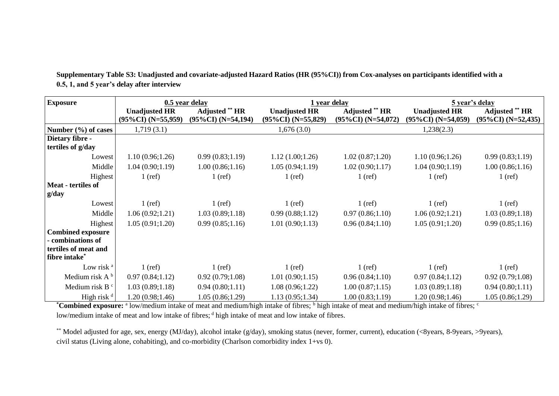| <b>Exposure</b>            | 0.5 year delay        |                       | 1 year delay          |                       | 5 year's delay        |                       |  |
|----------------------------|-----------------------|-----------------------|-----------------------|-----------------------|-----------------------|-----------------------|--|
|                            | <b>Unadjusted HR</b>  | <b>Adjusted</b> ** HR | <b>Unadjusted HR</b>  | <b>Adjusted</b> ** HR | <b>Unadjusted HR</b>  | <b>Adjusted</b> ** HR |  |
|                            | $(95\%CI)$ (N=55,959) | $(95\%CI)$ (N=54,194) | $(95\%CI)$ (N=55,829) | $(95\%CI)$ (N=54,072) | $(95\%CI)$ (N=54,059) | $(95\%CI)$ (N=52,435) |  |
| Number $(\% )$ of cases    | 1,719(3.1)            |                       | 1,676(3.0)            |                       | 1,238(2.3)            |                       |  |
| Dietary fibre -            |                       |                       |                       |                       |                       |                       |  |
| tertiles of g/day          |                       |                       |                       |                       |                       |                       |  |
| Lowest                     | 1.10(0.96;1.26)       | 0.99(0.83;1.19)       | 1.12(1.00;1.26)       | 1.02(0.87;1.20)       | 1.10(0.96;1.26)       | 0.99(0.83;1.19)       |  |
| Middle                     | 1.04(0.90;1.19)       | 1.00(0.86;1.16)       | 1.05(0.94;1.19)       | 1.02(0.90;1.17)       | 1.04(0.90;1.19)       | 1.00(0.86;1.16)       |  |
| Highest                    | $1$ (ref)             | $1$ (ref)             | $1$ (ref)             | $1$ (ref)             | $1$ (ref)             | $1$ (ref)             |  |
| Meat - tertiles of         |                       |                       |                       |                       |                       |                       |  |
| g/day                      |                       |                       |                       |                       |                       |                       |  |
| Lowest                     | $1$ (ref)             | $1$ (ref)             | $1$ (ref)             | $1$ (ref)             | $1$ (ref)             | $1$ (ref)             |  |
| Middle                     | 1.06(0.92;1.21)       | 1.03(0.89;1.18)       | 0.99(0.88;1.12)       | 0.97(0.86;1.10)       | 1.06(0.92;1.21)       | 1.03(0.89;1.18)       |  |
| Highest                    | 1.05(0.91;1.20)       | 0.99(0.85;1.16)       | 1.01(0.90;1.13)       | 0.96(0.84;1.10)       | 1.05(0.91;1.20)       | 0.99(0.85;1.16)       |  |
| <b>Combined exposure</b>   |                       |                       |                       |                       |                       |                       |  |
| - combinations of          |                       |                       |                       |                       |                       |                       |  |
| tertiles of meat and       |                       |                       |                       |                       |                       |                       |  |
| fibre intake*              |                       |                       |                       |                       |                       |                       |  |
| Low risk <sup>a</sup>      | $1$ (ref)             | $1$ (ref)             | $1$ (ref)             | $1$ (ref)             | $1$ (ref)             | $1$ (ref)             |  |
| Medium risk $A^b$          | 0.97(0.84;1.12)       | 0.92(0.79;1.08)       | 1.01(0.90;1.15)       | 0.96(0.84;1.10)       | 0.97(0.84;1.12)       | 0.92(0.79;1.08)       |  |
| Medium risk B <sup>c</sup> | 1.03(0.89;1.18)       | 0.94(0.80;1.11)       | 1.08(0.96;1.22)       | 1.00(0.87;1.15)       | 1.03(0.89;1.18)       | 0.94(0.80;1.11)       |  |
| High risk $d$              | 1.20 (0.98;1.46)      | 1.05(0.86;1.29)       | 1.13(0.95;1.34)       | 1.00(0.83;1.19)       | 1.20(0.98;1.46)       | 1.05(0.86;1.29)       |  |

**Supplementary Table S3: Unadjusted and covariate-adjusted Hazard Ratios (HR (95%CI)) from Cox-analyses on participants identified with a 0.5, 1, and 5 year's delay after interview**

\*Combined exposure: <sup>a</sup> low/medium intake of meat and medium/high intake of fibres; <sup>b</sup> high intake of meat and medium/high intake of fibres; <sup>c</sup> low/medium intake of meat and low intake of fibres; <sup>d</sup> high intake of meat and low intake of fibres.

\*\* Model adjusted for age, sex, energy (MJ/day), alcohol intake (g/day), smoking status (never, former, current), education (<8years, 8-9years, >9years), civil status (Living alone, cohabiting), and co-morbidity (Charlson comorbidity index 1+vs 0).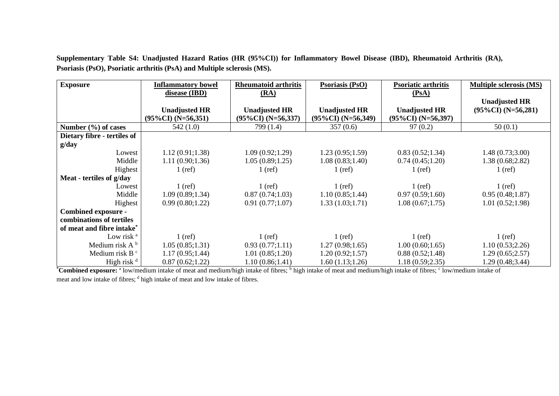| <b>Exposure</b>             | <b>Inflammatory bowel</b> | <b>Rheumatoid arthritis</b> | <b>Psoriasis (PsO)</b> | Psoriatic arthritis   | <b>Multiple sclerosis (MS)</b> |
|-----------------------------|---------------------------|-----------------------------|------------------------|-----------------------|--------------------------------|
|                             | disease (IBD)             | (RA)                        |                        | (PsA)                 |                                |
|                             |                           |                             |                        |                       | <b>Unadjusted HR</b>           |
|                             | <b>Unadjusted HR</b>      | <b>Unadjusted HR</b>        | <b>Unadjusted HR</b>   | <b>Unadjusted HR</b>  | $(95\%CI)$ (N=56,281)          |
|                             | $(95\%CI)$ (N=56,351)     | $(95\%CI)$ (N=56,337)       | $(95\%CI) (N=56,349)$  | $(95\%CI)$ (N=56,397) |                                |
| Number $(\% )$ of cases     | 542(1.0)                  | 799 (1.4)                   | 357(0.6)               | 97(0.2)               | 50(0.1)                        |
| Dietary fibre - tertiles of |                           |                             |                        |                       |                                |
| g/day                       |                           |                             |                        |                       |                                |
| Lowest                      | 1.12(0.91;1.38)           | 1.09(0.92;1.29)             | 1.23(0.95;1.59)        | 0.83(0.52;1.34)       | 1.48(0.73;3.00)                |
| Middle                      | 1.11(0.90; 1.36)          | 1.05(0.89;1.25)             | 1.08(0.83;1.40)        | 0.74(0.45;1.20)       | 1.38(0.68;2.82)                |
| Highest                     | $1$ (ref)                 | $1$ (ref)                   | $1$ (ref)              | $1$ (ref)             | $1$ (ref)                      |
| Meat - tertiles of g/day    |                           |                             |                        |                       |                                |
| Lowest                      | $1$ (ref)                 | $1$ (ref)                   | $1$ (ref)              | $1$ (ref)             | $1$ (ref)                      |
| Middle                      | 1.09(0.89;1.34)           | 0.87(0.74;1.03)             | 1.10(0.85;1.44)        | 0.97(0.59;1.60)       | 0.95(0.48;1.87)                |
| Highest                     | 0.99(0.80;1.22)           | 0.91(0.77;1.07)             | 1.33(1.03;1.71)        | 1.08(0.67;1.75)       | 1.01(0.52;1.98)                |
| <b>Combined exposure -</b>  |                           |                             |                        |                       |                                |
| combinations of tertiles    |                           |                             |                        |                       |                                |
| of meat and fibre intake*   |                           |                             |                        |                       |                                |
| Low risk $a$                | $1$ (ref)                 | $1$ (ref)                   | $1$ (ref)              | $1$ (ref)             | $1$ (ref)                      |
| Medium risk $A^b$           | 1.05(0.85;1.31)           | 0.93(0.77;1.11)             | 1.27(0.98;1.65)        | 1.00(0.60;1.65)       | 1.10(0.53;2.26)                |
| Medium risk B <sup>c</sup>  | 1.17(0.95;1.44)           | 1.01(0.85;1.20)             | 1.20(0.92;1.57)        | 0.88(0.52;1.48)       | 1.29(0.65;2.57)                |
| High risk $d$               | 0.87(0.62;1.22)           | 1.10(0.86;1.41)             | 1.60(1.13;1.26)        | 1.18(0.59;2.35)       | 1.29 (0.48;3.44)               |

**Supplementary Table S4: Unadjusted Hazard Ratios (HR (95%CI)) for Inflammatory Bowel Disease (IBD), Rheumatoid Arthritis (RA), Psoriasis (PsO), Psoriatic arthritis (PsA) and Multiple sclerosis (MS).**

\***Combined exposure:** a low/medium intake of meat and medium/high intake of fibres; b high intake of meat and medium/high intake of fibres; c low/medium intake of meat and low intake of fibres; <sup>d</sup> high intake of meat and low intake of fibres.